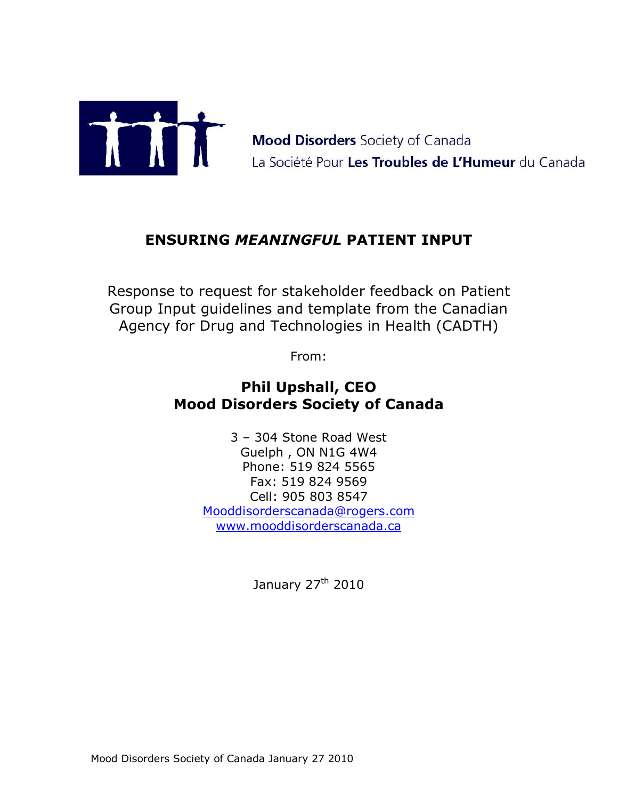

Mood Disorders Society of Canada<br>La Société Pour Les Troubles de L'Humeur du Canada

# **ENSURING** *MEANINGFUL* **PATIENT INPUT**

Response to request for stakeholder feedback on Patient Group Input guidelines and template from the Canadian Agency for Drug and Technologies in Health (CADTH)

From:

# **Phil Upshall, CEO Mood Disorders Society of Canada**

 $3 - 304$  Stone Road West Guelph , ON N1G 4W4 Phone: 519 824 5565 Fax: 519 824 9569 Cell: 905 803 8547 Mooddisorderscanada@rogers.com www.mooddisorderscanada.ca

January 27<sup>th</sup> 2010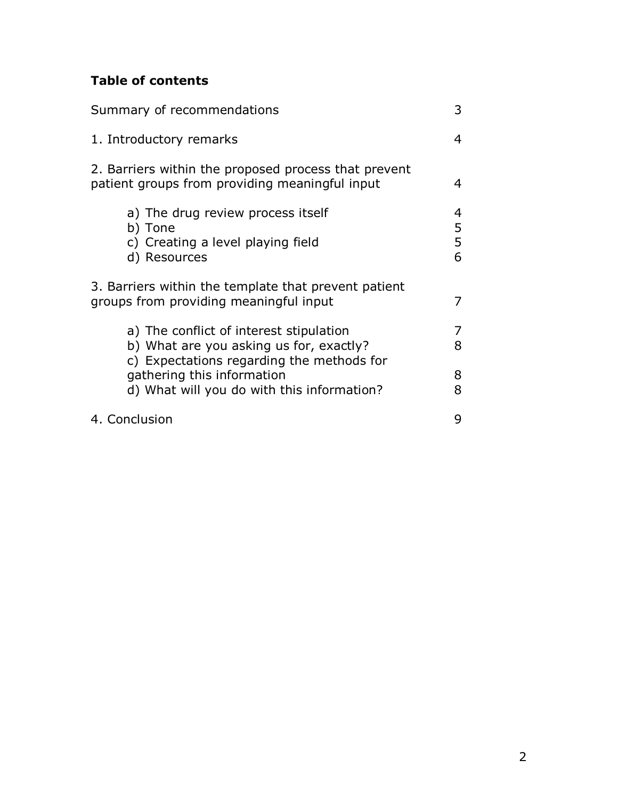# **Table of contents**

| Summary of recommendations                                                                                                                                    | 3                |
|---------------------------------------------------------------------------------------------------------------------------------------------------------------|------------------|
| 1. Introductory remarks                                                                                                                                       | 4                |
| 2. Barriers within the proposed process that prevent<br>patient groups from providing meaningful input                                                        | 4                |
| a) The drug review process itself<br>b) Tone<br>c) Creating a level playing field<br>d) Resources                                                             | 4<br>5<br>5<br>6 |
| 3. Barriers within the template that prevent patient<br>groups from providing meaningful input                                                                |                  |
| a) The conflict of interest stipulation<br>b) What are you asking us for, exactly?<br>c) Expectations regarding the methods for<br>gathering this information | 7<br>8<br>8      |
| d) What will you do with this information?<br>4. Conclusion                                                                                                   | 8<br>9           |
|                                                                                                                                                               |                  |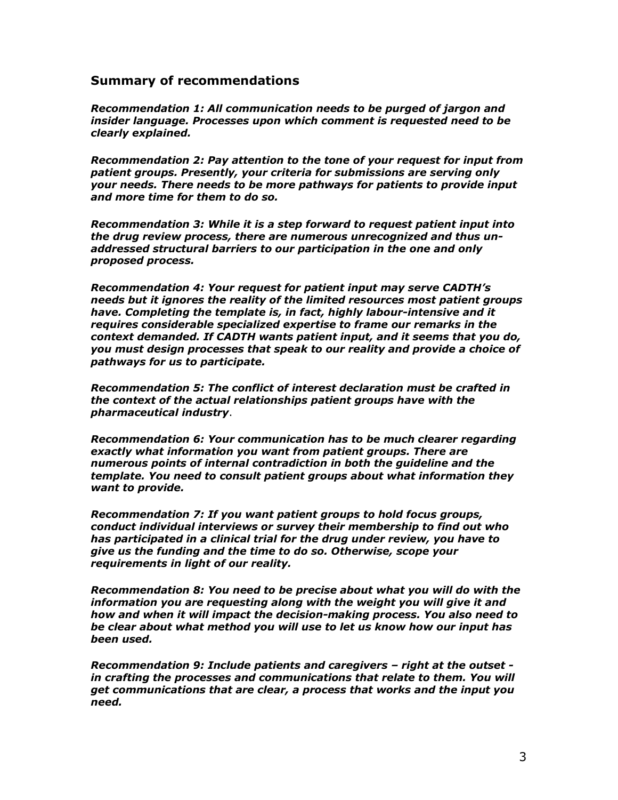#### **Summary of recommendations**

*Recommendation 1: All communication needs to be purged of jargon and insider language. Processes upon which comment is requested need to be clearly explained.* 

*Recommendation 2: Pay attention to the tone of your request for input from patient groups. Presently, your criteria for submissions are serving only your needs. There needs to be more pathways for patients to provide input and more time for them to do so.* 

*Recommendation 3: While it is a step forward to request patient input into the drug review process, there are numerous unrecognized and thus unaddressed structural barriers to our participation in the one and only proposed process.* 

*Recommendation 4: Your request for patient input may serve CADTHís needs but it ignores the reality of the limited resources most patient groups have. Completing the template is, in fact, highly labour-intensive and it requires considerable specialized expertise to frame our remarks in the context demanded. If CADTH wants patient input, and it seems that you do, you must design processes that speak to our reality and provide a choice of pathways for us to participate.* 

*Recommendation 5: The conflict of interest declaration must be crafted in the context of the actual relationships patient groups have with the pharmaceutical industry*.

*Recommendation 6: Your communication has to be much clearer regarding exactly what information you want from patient groups. There are numerous points of internal contradiction in both the guideline and the template. You need to consult patient groups about what information they want to provide.* 

*Recommendation 7: If you want patient groups to hold focus groups, conduct individual interviews or survey their membership to find out who has participated in a clinical trial for the drug under review, you have to give us the funding and the time to do so. Otherwise, scope your requirements in light of our reality.* 

*Recommendation 8: You need to be precise about what you will do with the information you are requesting along with the weight you will give it and how and when it will impact the decision-making process. You also need to be clear about what method you will use to let us know how our input has been used.* 

*Recommendation 9: Include patients and caregivers - right at the outset in crafting the processes and communications that relate to them. You will get communications that are clear, a process that works and the input you need.*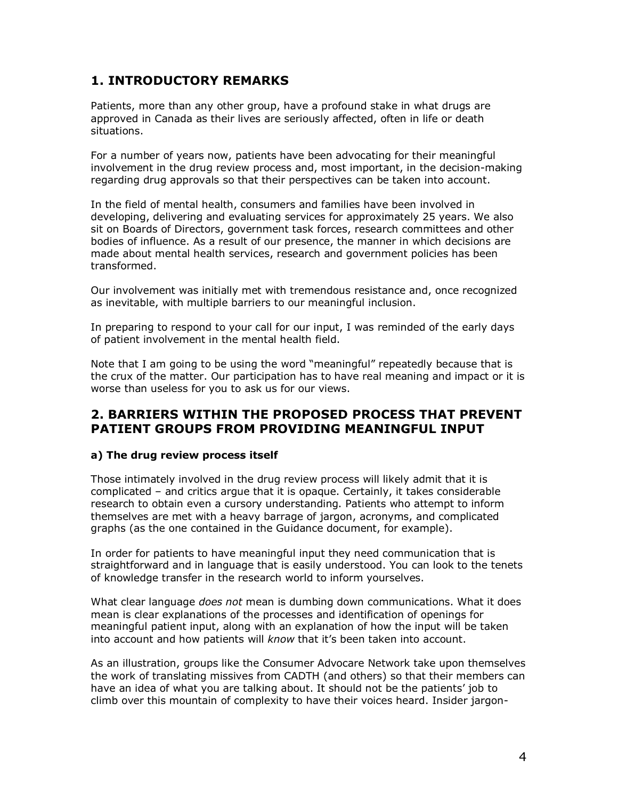## **1. INTRODUCTORY REMARKS**

Patients, more than any other group, have a profound stake in what drugs are approved in Canada as their lives are seriously affected, often in life or death situations.

For a number of years now, patients have been advocating for their meaningful involvement in the drug review process and, most important, in the decision-making regarding drug approvals so that their perspectives can be taken into account.

In the field of mental health, consumers and families have been involved in developing, delivering and evaluating services for approximately 25 years. We also sit on Boards of Directors, government task forces, research committees and other bodies of influence. As a result of our presence, the manner in which decisions are made about mental health services, research and government policies has been transformed.

Our involvement was initially met with tremendous resistance and, once recognized as inevitable, with multiple barriers to our meaningful inclusion.

In preparing to respond to your call for our input, I was reminded of the early days of patient involvement in the mental health field.

Note that I am going to be using the word "meaningful" repeatedly because that is the crux of the matter. Our participation has to have real meaning and impact or it is worse than useless for you to ask us for our views.

## **2. BARRIERS WITHIN THE PROPOSED PROCESS THAT PREVENT PATIENT GROUPS FROM PROVIDING MEANINGFUL INPUT**

#### **a) The drug review process itself**

Those intimately involved in the drug review process will likely admit that it is complicated  $-$  and critics argue that it is opaque. Certainly, it takes considerable research to obtain even a cursory understanding. Patients who attempt to inform themselves are met with a heavy barrage of jargon, acronyms, and complicated graphs (as the one contained in the Guidance document, for example).

In order for patients to have meaningful input they need communication that is straightforward and in language that is easily understood. You can look to the tenets of knowledge transfer in the research world to inform yourselves.

What clear language *does not* mean is dumbing down communications. What it does mean is clear explanations of the processes and identification of openings for meaningful patient input, along with an explanation of how the input will be taken into account and how patients will *know* that it's been taken into account.

As an illustration, groups like the Consumer Advocare Network take upon themselves the work of translating missives from CADTH (and others) so that their members can have an idea of what you are talking about. It should not be the patients' job to climb over this mountain of complexity to have their voices heard. Insider jargon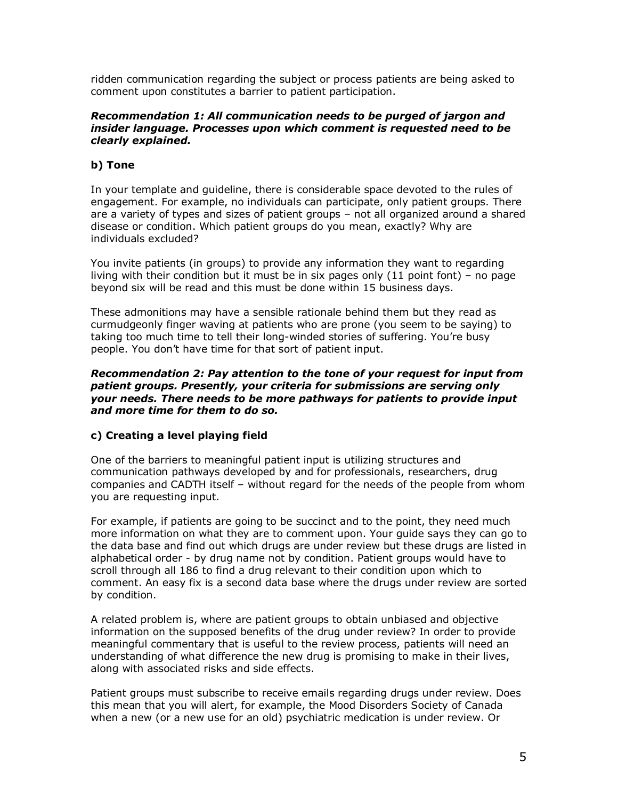ridden communication regarding the subject or process patients are being asked to comment upon constitutes a barrier to patient participation.

#### *Recommendation 1: All communication needs to be purged of jargon and insider language. Processes upon which comment is requested need to be clearly explained.*

### **b) Tone**

In your template and guideline, there is considerable space devoted to the rules of engagement. For example, no individuals can participate, only patient groups. There are a variety of types and sizes of patient groups - not all organized around a shared disease or condition. Which patient groups do you mean, exactly? Why are individuals excluded?

You invite patients (in groups) to provide any information they want to regarding living with their condition but it must be in six pages only  $(11 \text{ point font})$  - no page beyond six will be read and this must be done within 15 business days.

These admonitions may have a sensible rationale behind them but they read as curmudgeonly finger waving at patients who are prone (you seem to be saying) to taking too much time to tell their long-winded stories of suffering. Youíre busy people. You don't have time for that sort of patient input.

#### *Recommendation 2: Pay attention to the tone of your request for input from patient groups. Presently, your criteria for submissions are serving only your needs. There needs to be more pathways for patients to provide input and more time for them to do so.*

#### **c) Creating a level playing field**

One of the barriers to meaningful patient input is utilizing structures and communication pathways developed by and for professionals, researchers, drug companies and CADTH itself - without regard for the needs of the people from whom you are requesting input.

For example, if patients are going to be succinct and to the point, they need much more information on what they are to comment upon. Your guide says they can go to the data base and find out which drugs are under review but these drugs are listed in alphabetical order - by drug name not by condition. Patient groups would have to scroll through all 186 to find a drug relevant to their condition upon which to comment. An easy fix is a second data base where the drugs under review are sorted by condition.

A related problem is, where are patient groups to obtain unbiased and objective information on the supposed benefits of the drug under review? In order to provide meaningful commentary that is useful to the review process, patients will need an understanding of what difference the new drug is promising to make in their lives, along with associated risks and side effects.

Patient groups must subscribe to receive emails regarding drugs under review. Does this mean that you will alert, for example, the Mood Disorders Society of Canada when a new (or a new use for an old) psychiatric medication is under review. Or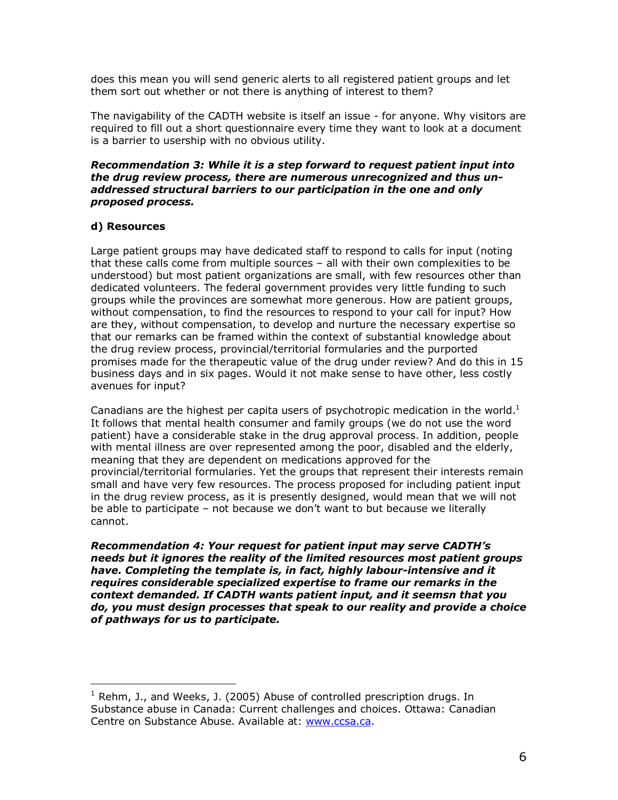does this mean you will send generic alerts to all registered patient groups and let them sort out whether or not there is anything of interest to them?

The navigability of the CADTH website is itself an issue - for anyone. Why visitors are required to fill out a short questionnaire every time they want to look at a document is a barrier to usership with no obvious utility.

#### *Recommendation 3: While it is a step forward to request patient input into the drug review process, there are numerous unrecognized and thus unaddressed structural barriers to our participation in the one and only proposed process.*

#### **d) Resources**

 $\overline{a}$ 

Large patient groups may have dedicated staff to respond to calls for input (noting that these calls come from multiple sources  $-$  all with their own complexities to be understood) but most patient organizations are small, with few resources other than dedicated volunteers. The federal government provides very little funding to such groups while the provinces are somewhat more generous. How are patient groups, without compensation, to find the resources to respond to your call for input? How are they, without compensation, to develop and nurture the necessary expertise so that our remarks can be framed within the context of substantial knowledge about the drug review process, provincial/territorial formularies and the purported promises made for the therapeutic value of the drug under review? And do this in 15 business days and in six pages. Would it not make sense to have other, less costly avenues for input?

Canadians are the highest per capita users of psychotropic medication in the world.<sup>1</sup> It follows that mental health consumer and family groups (we do not use the word patient) have a considerable stake in the drug approval process. In addition, people with mental illness are over represented among the poor, disabled and the elderly, meaning that they are dependent on medications approved for the provincial/territorial formularies. Yet the groups that represent their interests remain small and have very few resources. The process proposed for including patient input in the drug review process, as it is presently designed, would mean that we will not be able to participate  $-$  not because we don't want to but because we literally cannot.

*Recommendation 4: Your request for patient input may serve CADTHís needs but it ignores the reality of the limited resources most patient groups have. Completing the template is, in fact, highly labour-intensive and it requires considerable specialized expertise to frame our remarks in the context demanded. If CADTH wants patient input, and it seemsn that you do, you must design processes that speak to our reality and provide a choice of pathways for us to participate.* 

 $1$  Rehm, J., and Weeks, J. (2005) Abuse of controlled prescription drugs. In Substance abuse in Canada: Current challenges and choices. Ottawa: Canadian Centre on Substance Abuse. Available at: www.ccsa.ca.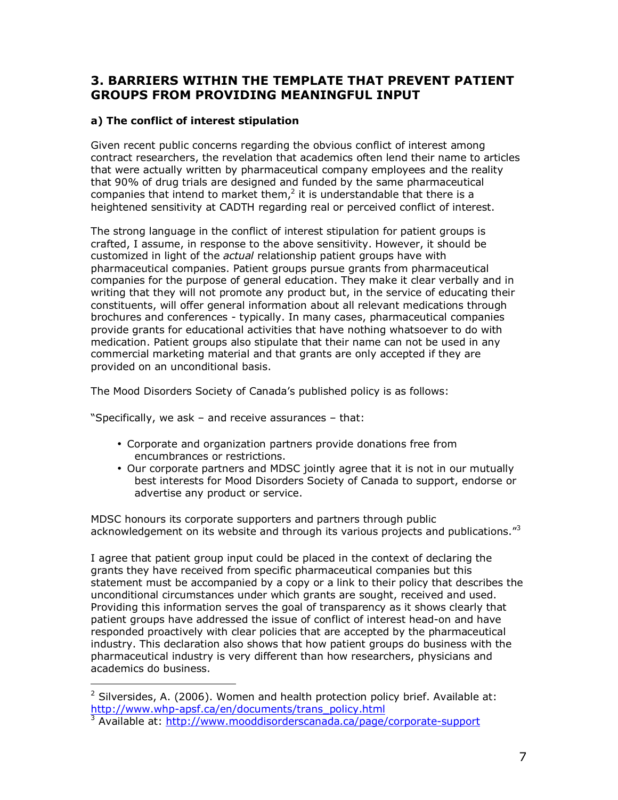## **3. BARRIERS WITHIN THE TEMPLATE THAT PREVENT PATIENT GROUPS FROM PROVIDING MEANINGFUL INPUT**

### **a) The conflict of interest stipulation**

Given recent public concerns regarding the obvious conflict of interest among contract researchers, the revelation that academics often lend their name to articles that were actually written by pharmaceutical company employees and the reality that 90% of drug trials are designed and funded by the same pharmaceutical companies that intend to market them, $<sup>2</sup>$  it is understandable that there is a</sup> heightened sensitivity at CADTH regarding real or perceived conflict of interest.

The strong language in the conflict of interest stipulation for patient groups is crafted, I assume, in response to the above sensitivity. However, it should be customized in light of the *actual* relationship patient groups have with pharmaceutical companies. Patient groups pursue grants from pharmaceutical companies for the purpose of general education. They make it clear verbally and in writing that they will not promote any product but, in the service of educating their constituents, will offer general information about all relevant medications through brochures and conferences - typically. In many cases, pharmaceutical companies provide grants for educational activities that have nothing whatsoever to do with medication. Patient groups also stipulate that their name can not be used in any commercial marketing material and that grants are only accepted if they are provided on an unconditional basis.

The Mood Disorders Society of Canadaís published policy is as follows:

"Specifically, we ask  $-$  and receive assurances  $-$  that:

- Corporate and organization partners provide donations free from encumbrances or restrictions.
- Our corporate partners and MDSC jointly agree that it is not in our mutually best interests for Mood Disorders Society of Canada to support, endorse or advertise any product or service.

MDSC honours its corporate supporters and partners through public acknowledgement on its website and through its various projects and publications.<sup>"3</sup>

I agree that patient group input could be placed in the context of declaring the grants they have received from specific pharmaceutical companies but this statement must be accompanied by a copy or a link to their policy that describes the unconditional circumstances under which grants are sought, received and used. Providing this information serves the goal of transparency as it shows clearly that patient groups have addressed the issue of conflict of interest head-on and have responded proactively with clear policies that are accepted by the pharmaceutical industry. This declaration also shows that how patient groups do business with the pharmaceutical industry is very different than how researchers, physicians and academics do business.

 $\overline{a}$ <sup>2</sup> Silversides, A. (2006). Women and health protection policy brief. Available at: http://www.whp-apsf.ca/en/documents/trans\_policy.html 3

<sup>&</sup>lt;sup>3</sup> Available at: http://www.mooddisorderscanada.ca/page/corporate-support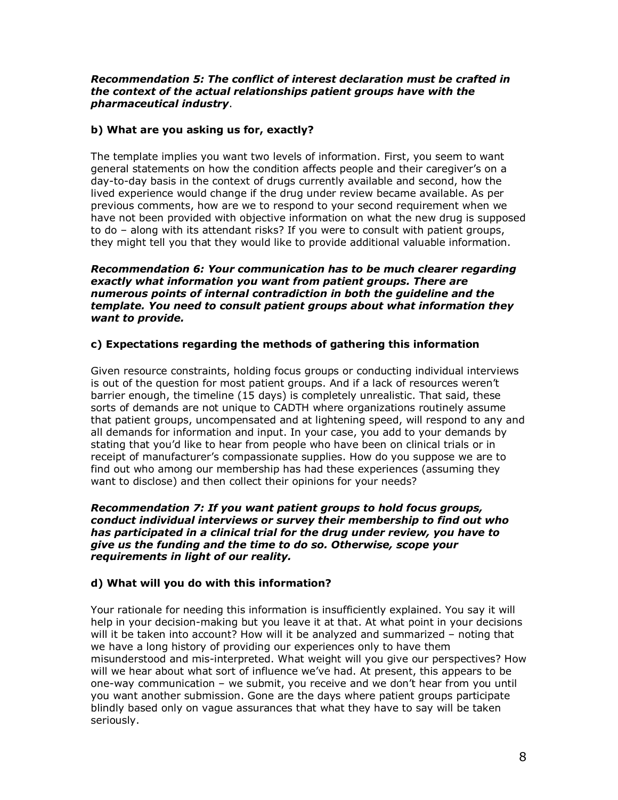#### *Recommendation 5: The conflict of interest declaration must be crafted in the context of the actual relationships patient groups have with the pharmaceutical industry*.

### **b) What are you asking us for, exactly?**

The template implies you want two levels of information. First, you seem to want general statements on how the condition affects people and their caregiver's on a day-to-day basis in the context of drugs currently available and second, how the lived experience would change if the drug under review became available. As per previous comments, how are we to respond to your second requirement when we have not been provided with objective information on what the new drug is supposed to do - along with its attendant risks? If you were to consult with patient groups, they might tell you that they would like to provide additional valuable information.

*Recommendation 6: Your communication has to be much clearer regarding exactly what information you want from patient groups. There are numerous points of internal contradiction in both the guideline and the template. You need to consult patient groups about what information they want to provide.* 

### **c) Expectations regarding the methods of gathering this information**

Given resource constraints, holding focus groups or conducting individual interviews is out of the question for most patient groups. And if a lack of resources weren't barrier enough, the timeline (15 days) is completely unrealistic. That said, these sorts of demands are not unique to CADTH where organizations routinely assume that patient groups, uncompensated and at lightening speed, will respond to any and all demands for information and input. In your case, you add to your demands by stating that you'd like to hear from people who have been on clinical trials or in receipt of manufacturerís compassionate supplies. How do you suppose we are to find out who among our membership has had these experiences (assuming they want to disclose) and then collect their opinions for your needs?

*Recommendation 7: If you want patient groups to hold focus groups, conduct individual interviews or survey their membership to find out who has participated in a clinical trial for the drug under review, you have to give us the funding and the time to do so. Otherwise, scope your requirements in light of our reality.* 

#### **d) What will you do with this information?**

Your rationale for needing this information is insufficiently explained. You say it will help in your decision-making but you leave it at that. At what point in your decisions will it be taken into account? How will it be analyzed and summarized  $-$  noting that we have a long history of providing our experiences only to have them misunderstood and mis-interpreted. What weight will you give our perspectives? How will we hear about what sort of influence we've had. At present, this appears to be one-way communication  $-$  we submit, you receive and we don't hear from you until you want another submission. Gone are the days where patient groups participate blindly based only on vague assurances that what they have to say will be taken seriously.